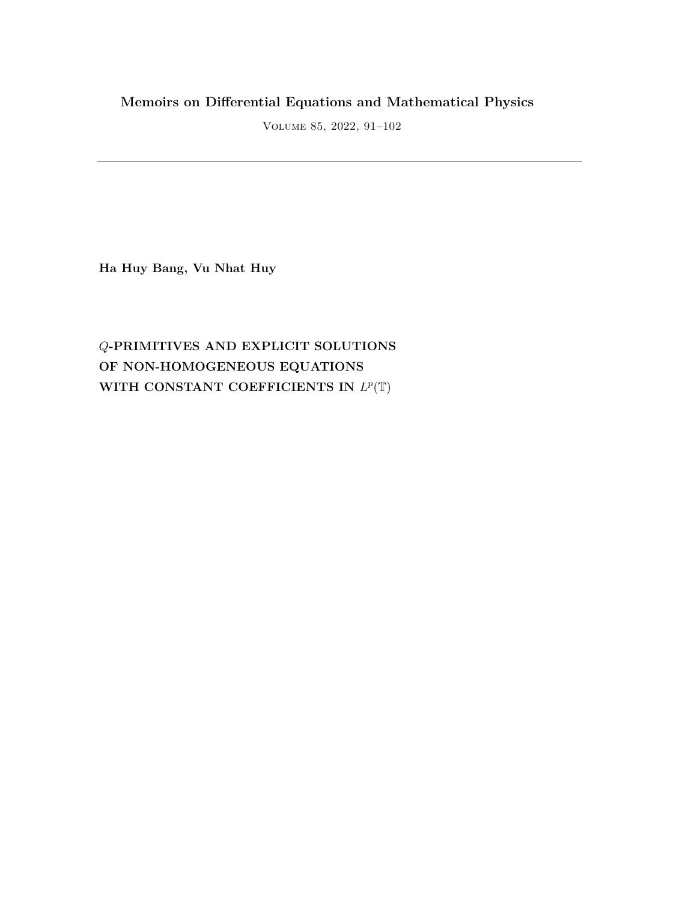## **Memoirs on Differential Equations and Mathematical Physics**

Volume 85, 2022, 91–102

**Ha Huy Bang, Vu Nhat Huy**

# *Q***-PRIMITIVES AND EXPLICIT SOLUTIONS OF NON-HOMOGENEOUS EQUATIONS** WITH CONSTANT COEFFICIENTS IN  $L^p(\mathbb{T})$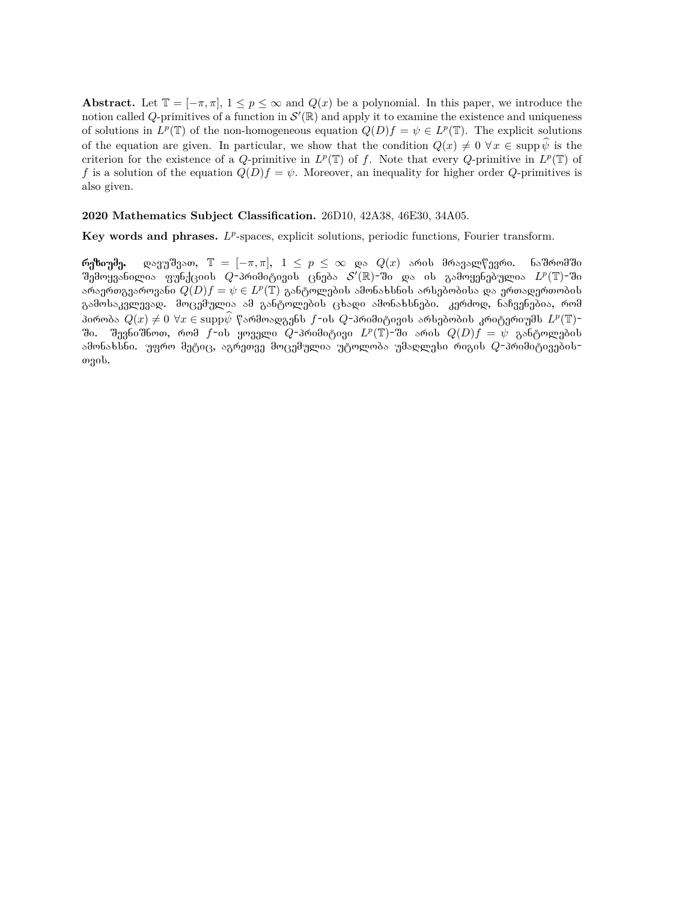**Abstract.** Let  $\mathbb{T} = [-\pi, \pi], 1 \leq p \leq \infty$  and  $Q(x)$  be a polynomial. In this paper, we introduce the notion called *Q*-primitives of a function in  $\mathcal{S}'(\mathbb{R})$  and apply it to examine the existence and uniqueness of solutions in  $L^p(\mathbb{T})$  of the non-homogeneous equation  $Q(D)f = \psi \in L^p(\mathbb{T})$ . The explicit solutions of the equation are given. In particular, we show that the condition  $Q(x) \neq 0$   $\forall x \in \text{supp } \hat{\psi}$  is the criterion for the existence of a *Q*-primitive in  $L^p(\mathbb{T})$  of *f*. Note that every *Q*-primitive in  $L^p(\mathbb{T})$  of *f* is a solution of the equation  $Q(D)f = \psi$ . Moreover, an inequality for higher order *Q*-primitives is also given.

### **2020 Mathematics Subject Classification.** 26D10, 42A38, 46E30, 34A05.

Key words and phrases. L<sup>p</sup>-spaces, explicit solutions, periodic functions, Fourier transform.

**რეზიუმე.** დავუშვათ,  $\mathbb{T} = [-\pi, \pi], 1 \leq p \leq \infty$  და  $Q(x)$  არის მრავალწევრი. ნაშრომში შემოყვანილია ფუნქციის  $Q$ -პრიმიტივის ცნება  $\mathcal{S}'(\mathbb{R})$ -ში და ის გამოყენებულია  $L^p(\mathbb{T})$ -ში არაერთგვაროვანი  $Q(D)f = \psi \in L^p(\mathbb{T})$  განტოლების ამონახსნის არსებობისა და ერთადერთობის გამოსაკვლევად. მოცემულია ამ განტოლების ცხადი ამონახსნები. კერძოდ, ნაჩვენებია, რომ პირობა  $Q(x) \neq 0 \,\,\forall x \in \mathrm{supp} \widehat{\psi}$  წარმოადგენს  $f$ -ის  $Q$ -პრიმიტივის არსებობის კრიტერიუმს  $L^p(\mathbb{T})$ ში. შევნიშნოთ, რომ  $f$ -ის ყოველი  $Q$ -პრიმიტივი  $L^p(\mathbb{T})$ -ში არის  $Q(D)f = \psi$  განტოლების  $\cdot$ ამონახსნი. უფრო მეტიც, აგრეთვე მოცემულია უტოლობა უმაღლესი რიგის  $Q$ -პრიმიტივებისozob.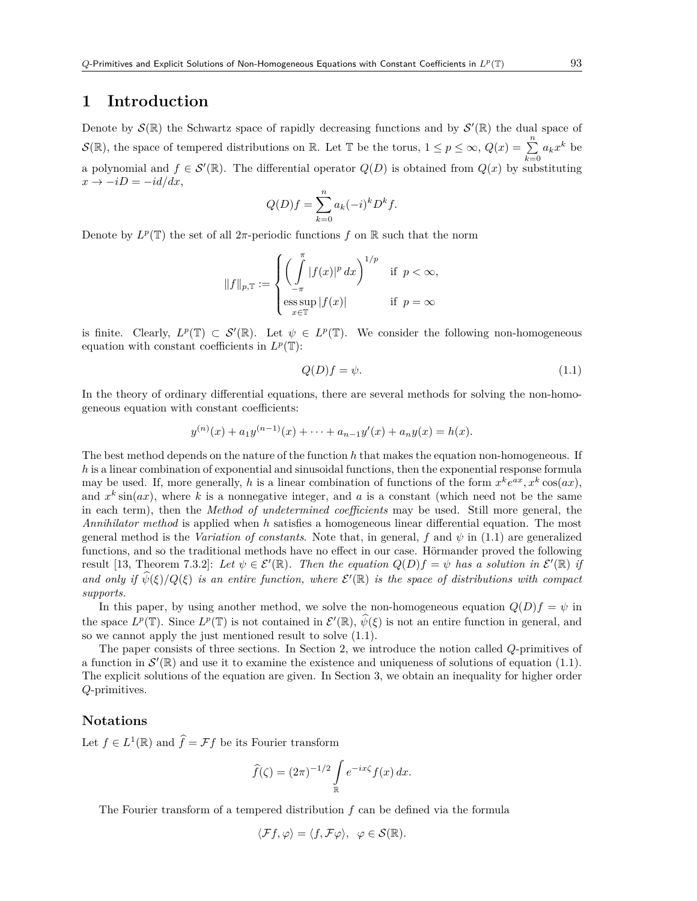### **1 Introduction**

Denote by  $\mathcal{S}(\mathbb{R})$  the Schwartz space of rapidly decreasing functions and by  $\mathcal{S}'(\mathbb{R})$  the dual space of *S*(R), the space of tempered distributions on R. Let T be the torus,  $1 \leq p \leq \infty$ ,  $Q(x) = \sum_{k=0}^{n} a_k x^k$  be a polynomial and  $f \in \mathcal{S}'(\mathbb{R})$ . The differential operator  $Q(D)$  is obtained from  $Q(x)$  by substituting  $x \rightarrow -iD = -id/dx,$ 

$$
Q(D)f = \sum_{k=0}^{n} a_k (-i)^k D^k f.
$$

Denote by  $L^p(\mathbb{T})$  the set of all  $2\pi$ -periodic functions  $f$  on  $\mathbb R$  such that the norm

$$
||f||_{p,\mathbb{T}} := \begin{cases} \left(\int\limits_{-\pi}^{\pi} |f(x)|^p dx\right)^{1/p} & \text{if } p < \infty, \\ \underset{x \in \mathbb{T}}{\mathrm{ess} \sup} |f(x)| & \text{if } p = \infty \end{cases}
$$

is finite. Clearly,  $L^p(\mathbb{T}) \subset \mathcal{S}'(\mathbb{R})$ . Let  $\psi \in L^p(\mathbb{T})$ . We consider the following non-homogeneous equation with constant coefficients in  $L^p(\mathbb{T})$ :

$$
Q(D)f = \psi.
$$
\n<sup>(1.1)</sup>

In the theory of ordinary differential equations, there are several methods for solving the non-homogeneous equation with constant coefficients:

$$
y^{(n)}(x) + a_1 y^{(n-1)}(x) + \cdots + a_{n-1} y'(x) + a_n y(x) = h(x).
$$

The best method depends on the nature of the function *h* that makes the equation non-homogeneous. If *h* is a linear combination of exponential and sinusoidal functions, then the exponential response formula may be used. If, more generally, h is a linear combination of functions of the form  $x^k e^{ax}$ ,  $x^k \cos(ax)$ , and  $x^k \sin(ax)$ , where k is a nonnegative integer, and a is a constant (which need not be the same in each term), then the *Method of undetermined coefficients* may be used. Still more general, the *Annihilator method* is applied when *h* satisfies a homogeneous linear differential equation. The most general method is the *Variation of constants*. Note that, in general, *f* and  $\psi$  in (1.1) are generalized functions, and so the traditional methods have no effect in our case. Hörmander proved the following result [13, Theorem 7.3.2]: Let  $\psi \in \mathcal{E}'(\mathbb{R})$ . Then the equation  $Q(D)f = \psi$  has a solution in  $\mathcal{E}'(\mathbb{R})$  if *and only if*  $\psi(\xi)/Q(\xi)$  *is an entire function, where*  $\mathcal{E}'(\mathbb{R})$  *is the space of distributions with compact supports.*

In this paper, by using another method, we solve the non-homogeneous equation  $Q(D)f = \psi$  in the space  $L^p(\mathbb{T})$ . Since  $L^p(\mathbb{T})$  is not contained in  $\mathcal{E}'(\mathbb{R})$ ,  $\widetilde{\psi}(\xi)$  is not an entire function in general, and so we cannot apply the just mentioned result to solve (1.1).

The paper consists of three sections. In Section 2, we introduce the notion called *Q*-primitives of a function in  $\mathcal{S}'(\mathbb{R})$  and use it to examine the existence and uniqueness of solutions of equation (1.1). The explicit solutions of the equation are given. In Section 3, we obtain an inequality for higher order *Q*-primitives.

### **Notations**

Let  $f \in L^1(\mathbb{R})$  and  $\hat{f} = \mathcal{F}f$  be its Fourier transform

$$
\widehat{f}(\zeta) = (2\pi)^{-1/2} \int_{\mathbb{R}} e^{-ix\zeta} f(x) dx.
$$

The Fourier transform of a tempered distribution *f* can be defined via the formula

$$
\langle \mathcal{F}f, \varphi \rangle = \langle f, \mathcal{F}\varphi \rangle, \ \ \varphi \in \mathcal{S}(\mathbb{R}).
$$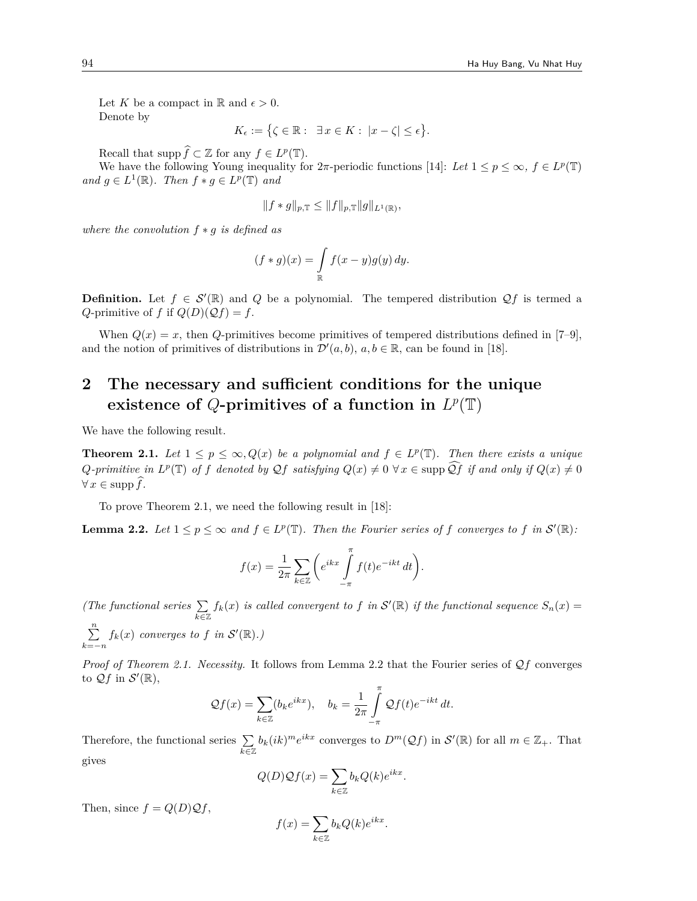Let *K* be a compact in  $\mathbb{R}$  and  $\epsilon > 0$ . Denote by

 $K_{\epsilon} := \{ \zeta \in \mathbb{R} : \exists x \in K : |x - \zeta| \leq \epsilon \}.$ 

Recall that  $\text{supp } \hat{f} \subset \mathbb{Z}$  for any  $f \in L^p(\mathbb{T})$ .

We have the following Young inequality for  $2\pi$ -periodic functions [14]: Let  $1 \leq p \leq \infty$ ,  $f \in L^p(\mathbb{T})$  $and g \in L^1(\mathbb{R})$ *. Then*  $f * g \in L^p(\mathbb{T})$  *and* 

$$
||f * g||_{p,T} \leq ||f||_{p,T} ||g||_{L^1(\mathbb{R})},
$$

*where the convolution f ∗ g is defined as*

$$
(f * g)(x) = \int_{\mathbb{R}} f(x - y)g(y) dy.
$$

**Definition.** Let  $f \in \mathcal{S}'(\mathbb{R})$  and  $Q$  be a polynomial. The tempered distribution  $Qf$  is termed a *Q*-primitive of *f* if  $Q(D)(Qf) = f$ .

When  $Q(x) = x$ , then *Q*-primitives become primitives of tempered distributions defined in [7–9], and the notion of primitives of distributions in  $\mathcal{D}'(a, b)$ ,  $a, b \in \mathbb{R}$ , can be found in [18].

# **2 The necessary and sufficient conditions for the unique** existence of Q-primitives of a function in  $L^p(\mathbb{T})$

We have the following result.

**Theorem 2.1.** *Let*  $1 \leq p \leq \infty$ ,  $Q(x)$  *be a polynomial and*  $f \in L^p(\mathbb{T})$ *. Then there exists a unique*  $Q\text{-}primitive\text{ in } L^p(\mathbb{T})\text{ of }f\text{ denoted by }Qf\text{ satisfying }Q(x)\neq 0\;\forall\,x\in\text{supp }\hat{Q}f\text{ if and only if }Q(x)\neq 0$  $∀x ∈ supp f$ .

To prove Theorem 2.1, we need the following result in [18]:

**Lemma 2.2.** Let  $1 \leq p \leq \infty$  and  $f \in L^p(\mathbb{T})$ . Then the Fourier series of f converges to f in  $\mathcal{S}'(\mathbb{R})$ :

$$
f(x) = \frac{1}{2\pi} \sum_{k \in \mathbb{Z}} \left( e^{ikx} \int_{-\pi}^{\pi} f(t) e^{-ikt} dt \right).
$$

*(The functional series* ∑ *k∈*Z  $f_k(x)$  *is called convergent to*  $f$  *in*  $S'(\mathbb{R})$  *if the functional sequence*  $S_n(x) =$ ∑*n k*=*−n*  $f_k(x)$  *converges to*  $f$  *in*  $\mathcal{S}'(\mathbb{R})$ *.*)

*Proof of Theorem 2.1. Necessity.* It follows from Lemma 2.2 that the Fourier series of *Qf* converges to  $\mathcal{Q}f$  in  $\mathcal{S}'(\mathbb{R}),$ 

$$
\mathcal{Q}f(x) = \sum_{k \in \mathbb{Z}} (b_k e^{ikx}), \quad b_k = \frac{1}{2\pi} \int_{-\pi}^{\pi} \mathcal{Q}f(t) e^{-ikt} dt.
$$

Therefore, the functional series ∑ *k∈*Z  $b_k(ik)^m e^{ikx}$  converges to  $D^m(\mathcal{Q}f)$  in  $\mathcal{S}'(\mathbb{R})$  for all  $m \in \mathbb{Z}_+$ . That gives

$$
Q(D)\mathcal{Q}f(x) = \sum_{k \in \mathbb{Z}} b_k Q(k) e^{ikx}.
$$

Then, since  $f = Q(D)Qf$ ,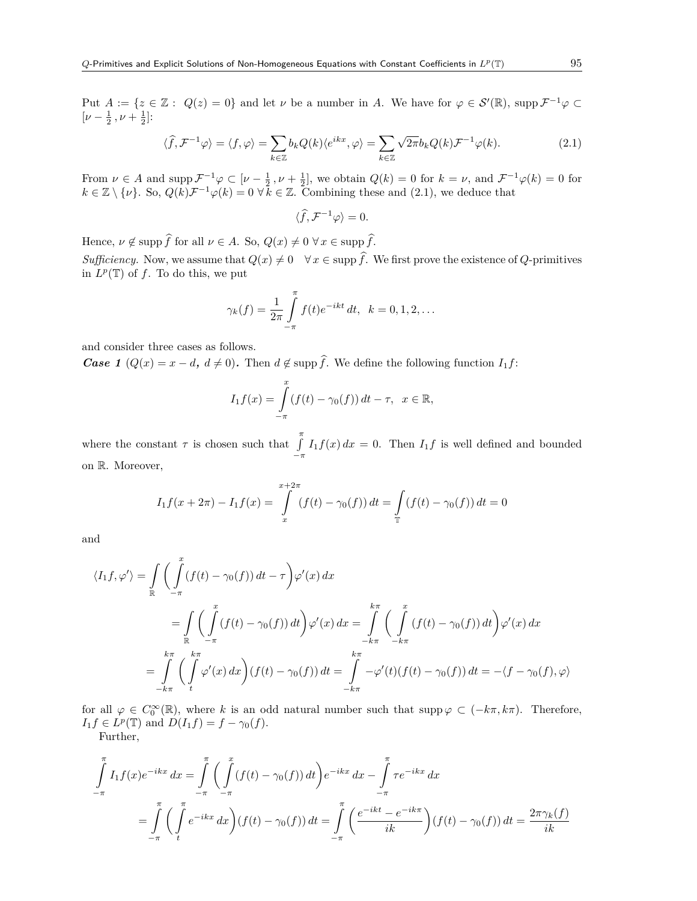Put  $A := \{z \in \mathbb{Z} : Q(z) = 0\}$  and let  $\nu$  be a number in  $A$ . We have for  $\varphi \in \mathcal{S}'(\mathbb{R})$ , supp  $\mathcal{F}^{-1}\varphi \subset \mathcal{S}'(\mathbb{R})$  $[\nu - \frac{1}{2}, \nu + \frac{1}{2}]$ :

$$
\langle \widehat{f}, \mathcal{F}^{-1} \varphi \rangle = \langle f, \varphi \rangle = \sum_{k \in \mathbb{Z}} b_k Q(k) \langle e^{ikx}, \varphi \rangle = \sum_{k \in \mathbb{Z}} \sqrt{2\pi} b_k Q(k) \mathcal{F}^{-1} \varphi(k).
$$
 (2.1)

From  $\nu \in A$  and supp  $\mathcal{F}^{-1}\varphi \subset [\nu - \frac{1}{2}, \nu + \frac{1}{2}]$ , we obtain  $Q(k) = 0$  for  $k = \nu$ , and  $\mathcal{F}^{-1}\varphi(k) = 0$  for  $k \in \mathbb{Z} \setminus \{\nu\}$ . So,  $Q(k)\mathcal{F}^{-1}\varphi(k) = 0 \,\forall \, k \in \mathbb{Z}$ . Combining these and (2.1), we deduce that

$$
\langle \widehat{f}, \mathcal{F}^{-1} \varphi \rangle = 0.
$$

Hence,  $\nu \notin \text{supp} \,\hat{f}$  for all  $\nu \in A$ . So,  $Q(x) \neq 0 \,\forall x \in \text{supp} \,\hat{f}$ .

*Sufficiency.* Now, we assume that  $Q(x) \neq 0 \quad \forall x \in \text{supp }\hat{f}$ . We first prove the existence of *Q*-primitives in  $L^p(\mathbb{T})$  of f. To do this, we put

$$
\gamma_k(f) = \frac{1}{2\pi} \int_{-\pi}^{\pi} f(t)e^{-ikt} dt, \ \ k = 0, 1, 2, \dots
$$

and consider three cases as follows.

*Case 1* ( $Q(x) = x - d$ ,  $d \neq 0$ ). Then  $d \notin \text{supp} \hat{f}$ . We define the following function  $I_1 f$ :

$$
I_1 f(x) = \int_{-\pi}^{x} (f(t) - \gamma_0(f)) dt - \tau, \ \ x \in \mathbb{R},
$$

where the constant  $\tau$  is chosen such that  $\int_{0}^{\pi}$ *−π*  $I_1 f(x) dx = 0$ . Then  $I_1 f$  is well defined and bounded on R. Moreover,

$$
I_1 f(x + 2\pi) - I_1 f(x) = \int_{x}^{x+2\pi} (f(t) - \gamma_0(f)) dt = \int_{\mathbb{T}} (f(t) - \gamma_0(f)) dt = 0
$$

and

$$
\langle I_1 f, \varphi' \rangle = \int_{\mathbb{R}} \left( \int_{-\pi}^{x} (f(t) - \gamma_0(f)) dt - \tau \right) \varphi'(x) dx
$$
  
\n
$$
= \int_{\mathbb{R}} \left( \int_{-\pi}^{x} (f(t) - \gamma_0(f)) dt \right) \varphi'(x) dx = \int_{-k\pi}^{k\pi} \left( \int_{-k\pi}^{x} (f(t) - \gamma_0(f)) dt \right) \varphi'(x) dx
$$
  
\n
$$
= \int_{-k\pi}^{k\pi} \left( \int_{t}^{k\pi} \varphi'(x) dx \right) (f(t) - \gamma_0(f)) dt = \int_{-k\pi}^{k\pi} -\varphi'(t) (f(t) - \gamma_0(f)) dt = -\langle f - \gamma_0(f), \varphi \rangle
$$

for all  $\varphi \in C_0^{\infty}(\mathbb{R})$ , where *k* is an odd natural number such that supp  $\varphi \subset (-k\pi, k\pi)$ . Therefore,  $I_1 f \in L^p(\mathbb{T})$  and  $D(I_1 f) = f - \gamma_0(f)$ .

Further,

$$
\int_{-\pi}^{\pi} I_1 f(x) e^{-ikx} dx = \int_{-\pi}^{\pi} \left( \int_{-\pi}^{x} (f(t) - \gamma_0(f)) dt \right) e^{-ikx} dx - \int_{-\pi}^{\pi} \tau e^{-ikx} dx
$$

$$
= \int_{-\pi}^{\pi} \left( \int_{t}^{\pi} e^{-ikx} dx \right) (f(t) - \gamma_0(f)) dt = \int_{-\pi}^{\pi} \left( \frac{e^{-ikt} - e^{-ik\pi}}{ik} \right) (f(t) - \gamma_0(f)) dt = \frac{2\pi \gamma_k(f)}{ik}
$$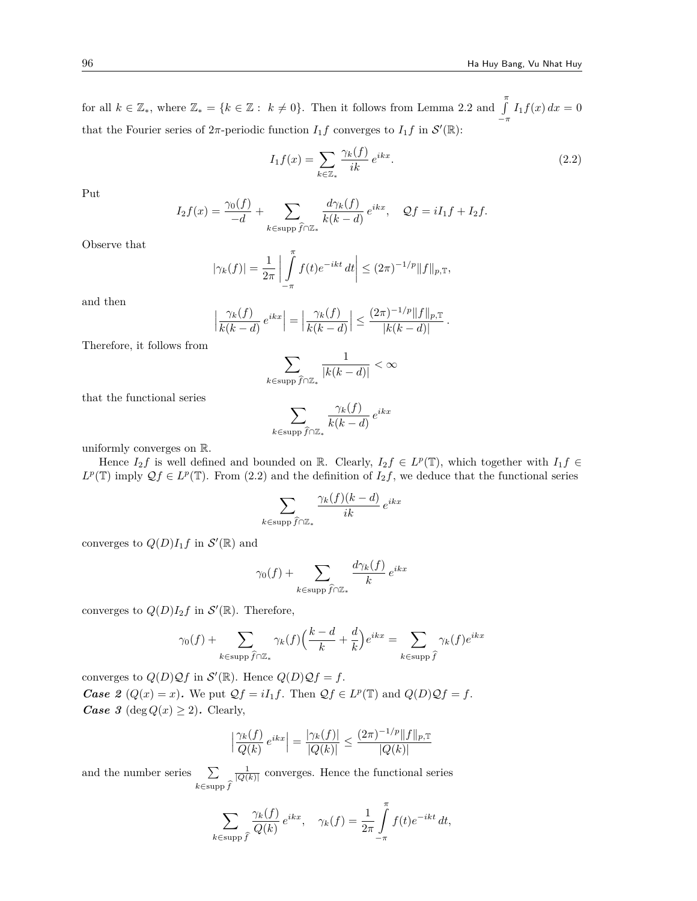for all  $k \in \mathbb{Z}_*$ , where  $\mathbb{Z}_* = \{k \in \mathbb{Z} : k \neq 0\}$ . Then it follows from Lemma 2.2 and  $\int_{-\pi}^{\pi}$  $I_1 f(x) dx = 0$ that the Fourier series of  $2\pi$ -periodic function  $I_1f$  converges to  $I_1f$  in  $\mathcal{S}'(\mathbb{R})$ :

$$
I_1 f(x) = \sum_{k \in \mathbb{Z}_*} \frac{\gamma_k(f)}{ik} e^{ikx}.
$$
 (2.2)

Put

$$
I_2 f(x) = \frac{\gamma_0(f)}{-d} + \sum_{k \in \text{supp} \widehat{f} \cap \mathbb{Z}_*} \frac{d \gamma_k(f)}{k(k-d)} e^{ikx}, \quad \mathcal{Q} f = iI_1 f + I_2 f.
$$

Observe that

$$
|\gamma_k(f)| = \frac{1}{2\pi} \left| \int\limits_{-\pi}^{\pi} f(t)e^{-ikt} dt \right| \le (2\pi)^{-1/p} \|f\|_{p,\mathbb{T}},
$$

and then

$$
\left|\frac{\gamma_k(f)}{k(k-d)}e^{ikx}\right| = \left|\frac{\gamma_k(f)}{k(k-d)}\right| \le \frac{(2\pi)^{-1/p}||f||_{p,\mathbb{T}}}{|k(k-d)|}.
$$

Therefore, it follows from

$$
\sum_{k\in\mathrm{supp}\,\widehat{f}\cap\mathbb{Z}_*}\frac{1}{|k(k-d)|}<\infty
$$

that the functional series

$$
\sum_{k \in \text{supp} \widehat{f} \cap \mathbb{Z}_*} \frac{\gamma_k(f)}{k(k-d)} e^{ikx}
$$

uniformly converges on R.

Hence  $I_2 f$  is well defined and bounded on R. Clearly,  $I_2 f \in L^p(\mathbb{T})$ , which together with  $I_1 f \in$  $L^p(\mathbb{T})$  imply  $\mathcal{Q}f \in L^p(\mathbb{T})$ . From (2.2) and the definition of  $I_2f$ , we deduce that the functional series

$$
\sum_{k \in \text{supp}\,\widehat{f} \cap \mathbb{Z}_*} \frac{\gamma_k(f)(k-d)}{ik} \, e^{ikx}
$$

converges to  $Q(D)I_1f$  in  $\mathcal{S}'(\mathbb{R})$  and

$$
\gamma_0(f) + \sum_{k \in \text{supp}\,\widehat{f} \cap \mathbb{Z}_*} \frac{d\gamma_k(f)}{k} e^{ikx}
$$

converges to  $Q(D)I_2f$  in  $\mathcal{S}'(\mathbb{R})$ . Therefore,

$$
\gamma_0(f) + \sum_{k \in \text{supp}\,\widehat{f} \cap \mathbb{Z}_*} \gamma_k(f) \Big(\frac{k-d}{k} + \frac{d}{k}\Big) e^{ikx} = \sum_{k \in \text{supp}\,\widehat{f}} \gamma_k(f) e^{ikx}
$$

converges to  $Q(D)Qf$  in  $\mathcal{S}'(\mathbb{R})$ . Hence  $Q(D)Qf = f$ . *Case 2* ( $Q(x) = x$ ). We put  $Qf = iI_1f$ . Then  $Qf \in L^p(\mathbb{T})$  and  $Q(D)Qf = f$ . *Case 3* (deg  $Q(x) \geq 2$ ). Clearly,

$$
\left| \frac{\gamma_k(f)}{Q(k)} e^{ikx} \right| = \frac{|\gamma_k(f)|}{|Q(k)|} \le \frac{(2\pi)^{-1/p} ||f||_{p,\mathbb{T}}}{|Q(k)|}
$$

and the number series  $\sum$ *k∈*supp *f*b  $\frac{1}{|Q(k)|}$  converges. Hence the functional series

$$
\sum_{k \in \text{supp } \hat{f}} \frac{\gamma_k(f)}{Q(k)} e^{ikx}, \quad \gamma_k(f) = \frac{1}{2\pi} \int_{-\pi}^{\pi} f(t) e^{-ikt} dt,
$$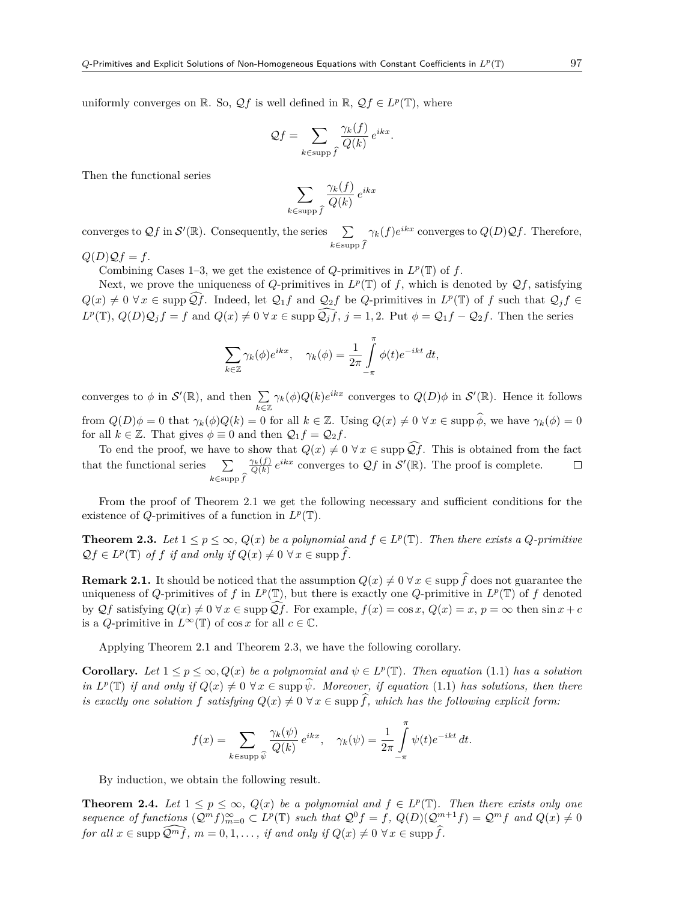uniformly converges on  $\mathbb{R}$ . So,  $\mathcal{Q}f$  is well defined in  $\mathbb{R}$ ,  $\mathcal{Q}f \in L^p(\mathbb{T})$ , where

$$
\mathcal{Q}f = \sum_{k \in \text{supp}\,\widehat{f}} \frac{\gamma_k(f)}{Q(k)} \, e^{ikx}.
$$

Then the functional series

$$
\sum_{k \in \text{supp} \widehat{f}} \frac{\gamma_k(f)}{Q(k)} e^{ikx}
$$

converges to  $\mathcal{Q}f$  in  $\mathcal{S}'(\mathbb{R})$ . Consequently, the series  $\sum$ *k∈*supp *f*b  $\gamma_k(f)e^{ikx}$  converges to  $Q(D)Qf$ . Therefore,

 $Q(D)Qf = f.$ 

Combining Cases 1–3, we get the existence of  $Q$ -primitives in  $L^p(\mathbb{T})$  of  $f$ .

Next, we prove the uniqueness of *Q*-primitives in  $L^p(\mathbb{T})$  of *f*, which is denoted by  $\mathcal{Q}f$ , satisfying  $Q(x) \neq 0 \,\forall x \in \text{supp }\mathcal{Q}f$ . Indeed, let  $\mathcal{Q}_1f$  and  $\mathcal{Q}_2f$  be Q-primitives in  $L^p(\mathbb{T})$  of f such that  $\mathcal{Q}_jf \in$  $L^p(\mathbb{T})$ ,  $Q(D)\mathcal{Q}_j f = f$  and  $Q(x) \neq 0 \ \forall x \in \text{supp }\mathcal{Q}_j \tilde{f}, j = 1, 2$ . Put  $\phi = \mathcal{Q}_1 f - \mathcal{Q}_2 f$ . Then the series

$$
\sum_{k\in\mathbb{Z}} \gamma_k(\phi) e^{ikx}, \quad \gamma_k(\phi) = \frac{1}{2\pi} \int\limits_{-\pi}^{\pi} \phi(t) e^{-ikt} dt,
$$

converges to  $\phi$  in  $\mathcal{S}'(\mathbb{R})$ , and then  $\sum$ *k∈*Z *γ*<sub>*k*</sub>( $\phi$ )*Q*(*k*)*e*<sup>*ikx*</sup> converges to *Q*(*D*) $\phi$  in *S*<sup>'</sup>( $\mathbb{R}$ ). Hence it follows from  $Q(D)\phi = 0$  that  $\gamma_k(\phi)Q(k) = 0$  for all  $k \in \mathbb{Z}$ . Using  $Q(x) \neq 0 \ \forall x \in \text{supp }\hat{\phi}$ , we have  $\gamma_k(\phi) = 0$ for all  $k \in \mathbb{Z}$ . That gives  $\phi \equiv 0$  and then  $\mathcal{Q}_1 f = \mathcal{Q}_2 f$ .

To end the proof, we have to show that  $Q(x) \neq 0 \,\forall x \in \text{supp }\widehat{Qf}$ . This is obtained from the fact  $\frac{\gamma_k(f)}{Q(k)} e^{ikx}$  converges to  $\mathcal{Q}f$  in  $\mathcal{S}'(\mathbb{R})$ . The proof is complete. that the functional series  $\Box$ *k∈*supp *f*b

From the proof of Theorem 2.1 we get the following necessary and sufficient conditions for the existence of *Q*-primitives of a function in  $L^p(\mathbb{T})$ .

**Theorem 2.3.** Let  $1 \leq p \leq \infty$ ,  $Q(x)$  be a polynomial and  $f \in L^p(\mathbb{T})$ . Then there exists a  $Q$ -primitive  $Qf \in L^p(\mathbb{T})$  *of f if and only if*  $Q(x) \neq 0 \ \forall x \in \text{supp }\hat{f}$ *.* 

**Remark 2.1.** It should be noticed that the assumption  $Q(x) \neq 0 \ \forall x \in \text{supp } \hat{f}$  does not guarantee the uniqueness of *Q*-primitives of *f* in  $L^p(\mathbb{T})$ , but there is exactly one *Q*-primitive in  $L^p(\mathbb{T})$  of *f* denoted by  $\mathcal{Q}f$  satisfying  $Q(x) \neq 0$   $\forall x \in \text{supp }\mathcal{Q}f$ . For example,  $f(x) = \cos x$ ,  $Q(x) = x$ ,  $p = \infty$  then  $\sin x + c$ is a *Q*-primitive in  $L^{\infty}(\mathbb{T})$  of cos *x* for all  $c \in \mathbb{C}$ .

Applying Theorem 2.1 and Theorem 2.3, we have the following corollary.

**Corollary.** Let  $1 \leq p \leq \infty$ ,  $Q(x)$  be a polynomial and  $\psi \in L^p(\mathbb{T})$ . Then equation (1.1) has a solution *in*  $L^p(\mathbb{T})$  *if and only if*  $Q(x) \neq 0 \ \forall x \in \text{supp } \hat{\psi}$ *. Moreover, if equation* (1.1) *has solutions, then there is exactly one solution*  $f$  *satisfying*  $Q(x) \neq 0 \ \forall x \in \text{supp} \widehat{f}$ , which has the following explicit form:

$$
f(x) = \sum_{k \in \text{supp }\hat{\psi}} \frac{\gamma_k(\psi)}{Q(k)} e^{ikx}, \quad \gamma_k(\psi) = \frac{1}{2\pi} \int_{-\pi}^{\pi} \psi(t) e^{-ikt} dt.
$$

By induction, we obtain the following result.

**Theorem 2.4.** *Let*  $1 \leq p \leq \infty$ ,  $Q(x)$  *be a polynomial and*  $f \in L^p(\mathbb{T})$ *. Then there exists only one* sequence of functions  $(\mathcal{Q}^m f)_{m=0}^{\infty} \subset L^p(\mathbb{T})$  such that  $\mathcal{Q}^0 f = f$ ,  $Q(D)(\mathcal{Q}^{m+1} f) = \mathcal{Q}^m f$  and  $Q(x) \neq 0$ *for all*  $x \in \text{supp }\widehat{Q^m f}$ ,  $m = 0, 1, \ldots$ , *if and only if*  $Q(x) \neq 0 \ \forall x \in \text{supp }\widehat{f}$ .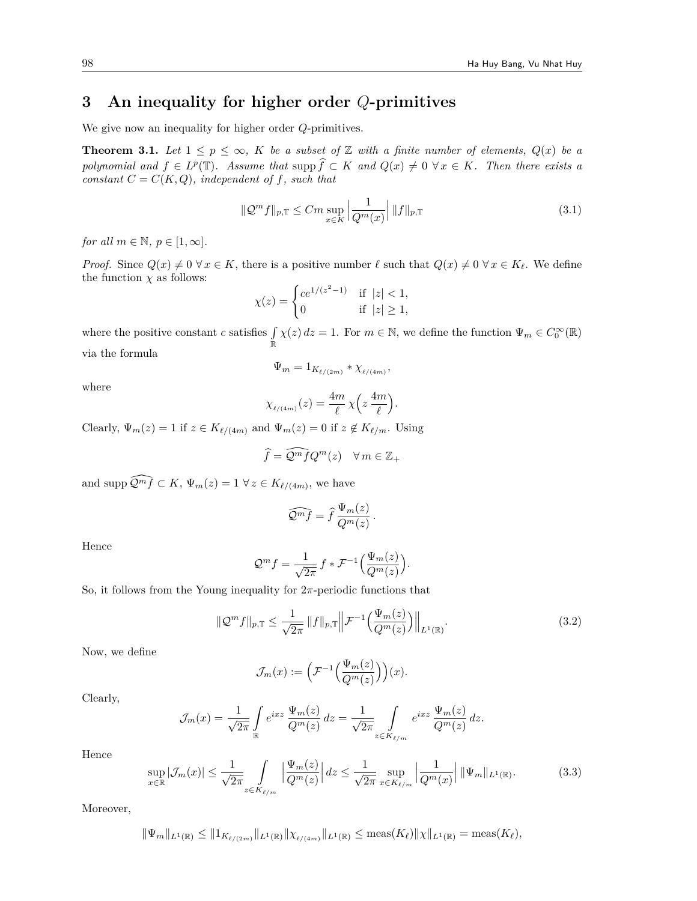## **3 An inequality for higher order** *Q***-primitives**

We give now an inequality for higher order *Q*-primitives.

**Theorem 3.1.** Let  $1 \leq p \leq \infty$ , K be a subset of Z with a finite number of elements,  $Q(x)$  be a *polynomial and*  $f \in L^p(\mathbb{T})$ *. Assume that* supp  $\hat{f} \subset K$  *and*  $Q(x) \neq 0 \ \forall x \in K$ *. Then there exists a constant*  $C = C(K, Q)$ *, independent of f, such that* 

$$
\|\mathcal{Q}^m f\|_{p,\mathbb{T}} \le Cm \sup_{x \in K} \left| \frac{1}{Q^m(x)} \right| \|f\|_{p,\mathbb{T}} \tag{3.1}
$$

*for all*  $m \in \mathbb{N}$ ,  $p \in [1, \infty]$ .

*Proof.* Since  $Q(x) \neq 0$   $\forall x \in K$ , there is a positive number  $\ell$  such that  $Q(x) \neq 0$   $\forall x \in K_{\ell}$ . We define the function  $\chi$  as follows:

$$
\chi(z) = \begin{cases} ce^{1/(z^2 - 1)} & \text{if } |z| < 1, \\ 0 & \text{if } |z| \ge 1, \end{cases}
$$

where the positive constant *c* satisfies ∫ R  $\chi(z) dz = 1$ . For  $m \in \mathbb{N}$ , we define the function  $\Psi_m \in C_0^{\infty}(\mathbb{R})$ via the formula

$$
\Psi_m = 1_{K_{\ell/(2m)}} * \chi_{\ell/(4m)},
$$

where

$$
\chi_{_{\ell/(4m)}}(z) = \frac{4m}{\ell} \,\chi\Big(z\,\frac{4m}{\ell}\Big).
$$

Clearly,  $\Psi_m(z) = 1$  if  $z \in K_{\ell/(4m)}$  and  $\Psi_m(z) = 0$  if  $z \notin K_{\ell/m}$ . Using

$$
\widehat{f} = \widehat{\mathcal{Q}^m f} Q^m(z) \quad \forall \, m \in \mathbb{Z}_+
$$

and supp  $\widehat{\mathcal{Q}}^{m}f \subset K$ ,  $\Psi_{m}(z) = 1 \ \forall z \in K_{\ell/(4m)}$ , we have

$$
\widehat{\mathcal{Q}^m f} = \widehat{f} \, \frac{\Psi_m(z)}{Q^m(z)} \, .
$$

Hence

$$
\mathcal{Q}^m f = \frac{1}{\sqrt{2\pi}} f * \mathcal{F}^{-1} \Big( \frac{\Psi_m(z)}{Q^m(z)} \Big).
$$

So, it follows from the Young inequality for  $2\pi$ -periodic functions that

$$
\|\mathcal{Q}^m f\|_{p,\mathbb{T}} \le \frac{1}{\sqrt{2\pi}} \|f\|_{p,\mathbb{T}} \left\| \mathcal{F}^{-1}\left(\frac{\Psi_m(z)}{\mathcal{Q}^m(z)}\right) \right\|_{L^1(\mathbb{R})}.\tag{3.2}
$$

Now, we define

$$
\mathcal{J}_m(x) := \left(\mathcal{F}^{-1}\Big(\frac{\Psi_m(z)}{Q^m(z)}\Big)\right)(x).
$$

Clearly,

$$
\mathcal{J}_m(x) = \frac{1}{\sqrt{2\pi}} \int\limits_{\mathbb{R}} e^{ixz} \frac{\Psi_m(z)}{Q^m(z)} dz = \frac{1}{\sqrt{2\pi}} \int\limits_{z \in K_{\ell/m}} e^{ixz} \frac{\Psi_m(z)}{Q^m(z)} dz.
$$

Hence

$$
\sup_{x\in\mathbb{R}}|\mathcal{J}_m(x)| \le \frac{1}{\sqrt{2\pi}} \int_{z\in K_{\ell/m}} \left|\frac{\Psi_m(z)}{Q^m(z)}\right| dz \le \frac{1}{\sqrt{2\pi}} \sup_{x\in K_{\ell/m}} \left|\frac{1}{Q^m(x)}\right| \|\Psi_m\|_{L^1(\mathbb{R})}.\tag{3.3}
$$

Moreover,

$$
\|\Psi_m\|_{L^1(\mathbb{R})} \le \|1_{K_{\ell/(2m)}}\|_{L^1(\mathbb{R})} \|\chi_{\ell/(4m)}\|_{L^1(\mathbb{R})} \le \text{meas}(K_{\ell}) \|\chi\|_{L^1(\mathbb{R})} = \text{meas}(K_{\ell}),
$$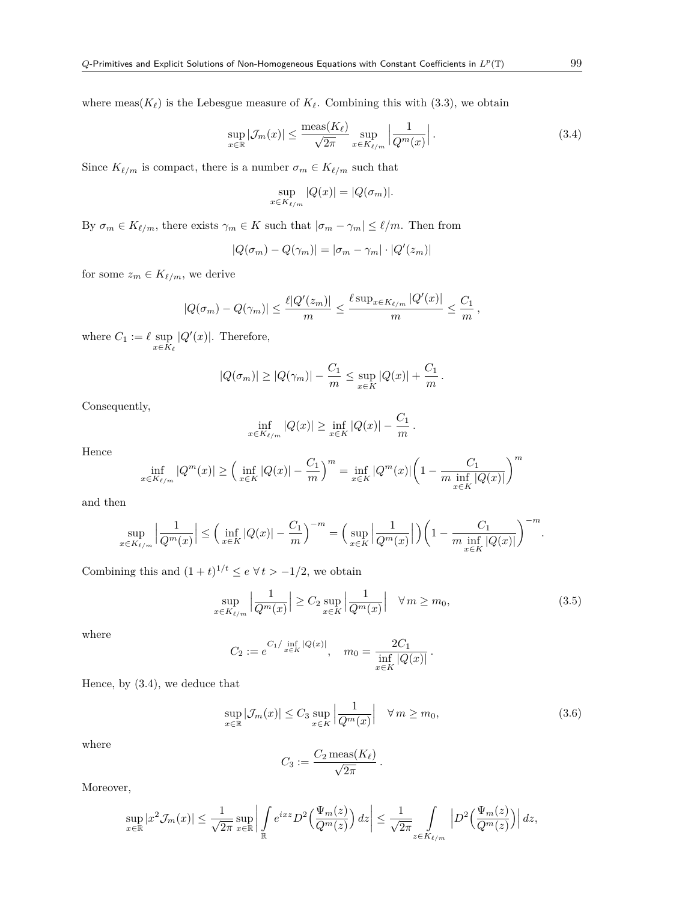where  $meas(K_{\ell})$  is the Lebesgue measure of  $K_{\ell}$ . Combining this with (3.3), we obtain

$$
\sup_{x \in \mathbb{R}} |\mathcal{J}_m(x)| \le \frac{\text{meas}(K_\ell)}{\sqrt{2\pi}} \sup_{x \in K_{\ell/m}} \left| \frac{1}{Q^m(x)} \right|.
$$
 (3.4)

Since  $K_{\ell/m}$  is compact, there is a number  $\sigma_m \in K_{\ell/m}$  such that

$$
\sup_{x \in K_{\ell/m}} |Q(x)| = |Q(\sigma_m)|.
$$

By  $\sigma_m \in K_{\ell/m}$ , there exists  $\gamma_m \in K$  such that  $|\sigma_m - \gamma_m| \leq \ell/m$ . Then from

$$
|Q(\sigma_m) - Q(\gamma_m)| = |\sigma_m - \gamma_m| \cdot |Q'(z_m)|
$$

for some  $z_m \in K_{\ell/m}$ , we derive

$$
|Q(\sigma_m) - Q(\gamma_m)| \leq \frac{\ell |Q'(z_m)|}{m} \leq \frac{\ell \sup_{x \in K_{\ell/m}} |Q'(x)|}{m} \leq \frac{C_1}{m},
$$

where  $C_1 := \ell$  sup *x∈K<sup>ℓ</sup>*  $|Q'(x)|$ . Therefore,

$$
|Q(\sigma_m)| \ge |Q(\gamma_m)| - \frac{C_1}{m} \le \sup_{x \in K} |Q(x)| + \frac{C_1}{m}.
$$

Consequently,

$$
\inf_{x \in K_{\ell/m}} |Q(x)| \ge \inf_{x \in K} |Q(x)| - \frac{C_1}{m}.
$$

Hence

$$
\inf_{x \in K_{\ell/m}} |Q^m(x)| \ge \left( \inf_{x \in K} |Q(x)| - \frac{C_1}{m} \right)^m = \inf_{x \in K} |Q^m(x)| \left( 1 - \frac{C_1}{m \inf_{x \in K} |Q(x)|} \right)^m
$$

and then

$$
\sup_{x\in K_{\ell/m}}\Big|\frac{1}{Q^m(x)}\Big|\leq \Big(\inf_{x\in K}|Q(x)|-\frac{C_1}{m}\Big)^{-m}=\Big(\sup_{x\in K}\Big|\frac{1}{Q^m(x)}\Big|\Big)\bigg(1-\frac{C_1}{m\inf\limits_{x\in K}|Q(x)|}\bigg)^{-m}.
$$

Combining this and  $(1 + t)^{1/t} \le e \ \forall t > -1/2$ , we obtain

$$
\sup_{x \in K_{\ell/m}} \left| \frac{1}{Q^m(x)} \right| \ge C_2 \sup_{x \in K} \left| \frac{1}{Q^m(x)} \right| \quad \forall \, m \ge m_0,
$$
\n(3.5)

where

$$
C_2 := e^{C_1 / \inf_{x \in K} |Q(x)|}, \quad m_0 = \frac{2C_1}{\inf_{x \in K} |Q(x)|}.
$$

Hence, by (3.4), we deduce that

$$
\sup_{x \in \mathbb{R}} |\mathcal{J}_m(x)| \le C_3 \sup_{x \in K} \left| \frac{1}{Q^m(x)} \right| \quad \forall \, m \ge m_0,\tag{3.6}
$$

where

$$
C_3 := \frac{C_2 \operatorname{meas}(K_{\ell})}{\sqrt{2\pi}}.
$$

Moreover,

$$
\sup_{x\in\mathbb{R}}|x^2\mathcal{J}_m(x)|\leq \frac{1}{\sqrt{2\pi}}\sup_{x\in\mathbb{R}}\bigg|\int\limits_{\mathbb{R}}e^{ixz}D^2\Big(\frac{\Psi_m(z)}{Q^m(z)}\Big)\,dz\bigg|\leq \frac{1}{\sqrt{2\pi}}\int\limits_{z\in K_{\ell/m}}\Big|D^2\Big(\frac{\Psi_m(z)}{Q^m(z)}\Big)\Big|\,dz,
$$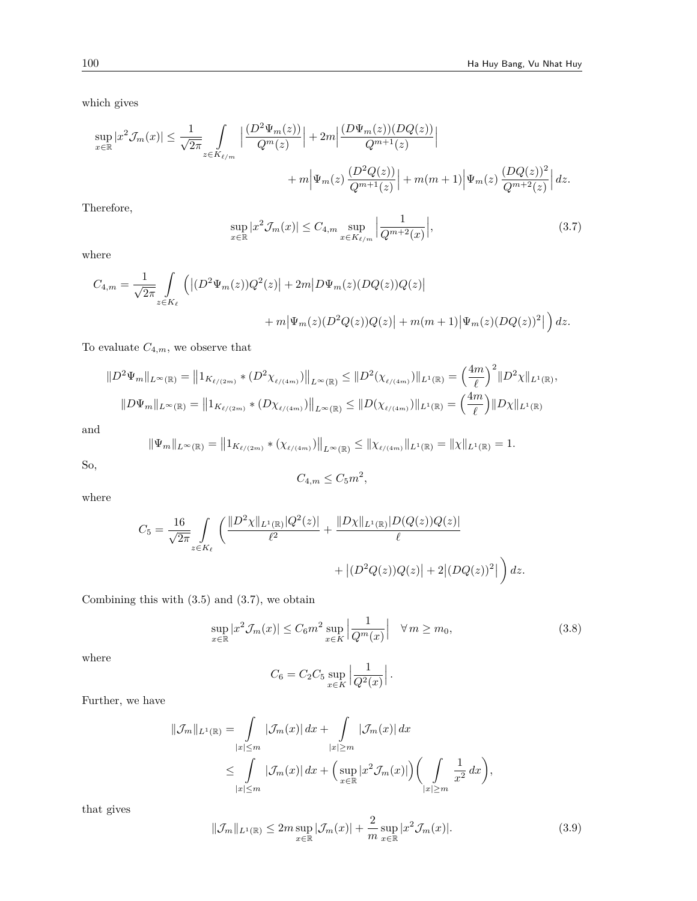which gives

$$
\sup_{x \in \mathbb{R}} |x^2 \mathcal{J}_m(x)| \le \frac{1}{\sqrt{2\pi}} \int_{z \in K_{\ell/m}} \left| \frac{(D^2 \Psi_m(z))}{Q^m(z)} \right| + 2m \left| \frac{(D \Psi_m(z))(DQ(z))}{Q^{m+1}(z)} \right|
$$
  
+  $m \left| \Psi_m(z) \frac{(D^2 Q(z))}{Q^{m+1}(z)} \right| + m(m+1) \left| \Psi_m(z) \frac{(DQ(z))^2}{Q^{m+2}(z)} \right| dz.$ 

Therefore,

$$
\sup_{x \in \mathbb{R}} |x^2 \mathcal{J}_m(x)| \le C_{4,m} \sup_{x \in K_{\ell/m}} \left| \frac{1}{Q^{m+2}(x)} \right|, \tag{3.7}
$$

where

$$
C_{4,m} = \frac{1}{\sqrt{2\pi}} \int_{z \in K_{\ell}} \left( |(D^2 \Psi_m(z))Q^2(z)| + 2m|D\Psi_m(z)(DQ(z))Q(z)| + m(m+1)|\Psi_m(z)(DQ(z))^2| \right) dz.
$$
  
+  $m|\Psi_m(z)(D^2Q(z))Q(z)| + m(m+1)|\Psi_m(z)(DQ(z))^2| \right) dz.$ 

To evaluate  $C_{4,m}$ , we observe that

$$
||D^2 \Psi_m||_{L^{\infty}(\mathbb{R})} = ||1_{K_{\ell/(2m)}} * (D^2 \chi_{\ell/(4m)})||_{L^{\infty}(\mathbb{R})} \le ||D^2(\chi_{\ell/(4m)})||_{L^1(\mathbb{R})} = \left(\frac{4m}{\ell}\right)^2 ||D^2 \chi||_{L^1(\mathbb{R})},
$$
  

$$
||D\Psi_m||_{L^{\infty}(\mathbb{R})} = ||1_{K_{\ell/(2m)}} * (D \chi_{\ell/(4m)})||_{L^{\infty}(\mathbb{R})} \le ||D(\chi_{\ell/(4m)})||_{L^1(\mathbb{R})} = \left(\frac{4m}{\ell}\right) ||D\chi||_{L^1(\mathbb{R})}
$$

and

$$
\|\Psi_m\|_{L^{\infty}(\mathbb{R})} = \|1_{K_{\ell/(2m)}} \cdot (\chi_{\ell/(4m)})\|_{L^{\infty}(\mathbb{R})} \le \|\chi_{\ell/(4m)}\|_{L^1(\mathbb{R})} = \|\chi\|_{L^1(\mathbb{R})} = 1.
$$

So,

$$
C_{4,m} \le C_5 m^2,
$$

where

$$
C_5 = \frac{16}{\sqrt{2\pi}} \int_{z \in K_{\ell}} \left( \frac{\|D^2 \chi\|_{L^1(\mathbb{R})} |Q^2(z)|}{\ell^2} + \frac{\|D \chi\|_{L^1(\mathbb{R})} |D(Q(z))Q(z)|}{\ell} + \left| (D^2 Q(z))Q(z) \right| + 2 |(DQ(z))^2| \right) dz.
$$

Combining this with (3.5) and (3.7), we obtain

$$
\sup_{x \in \mathbb{R}} |x^2 \mathcal{J}_m(x)| \le C_6 m^2 \sup_{x \in K} \left| \frac{1}{Q^m(x)} \right| \quad \forall \, m \ge m_0,
$$
\n(3.8)

where

$$
C_6 = C_2 C_5 \sup_{x \in K} \left| \frac{1}{Q^2(x)} \right|.
$$

Further, we have

$$
\|\mathcal{J}_m\|_{L^1(\mathbb{R})} = \int\limits_{|x| \le m} |\mathcal{J}_m(x)| dx + \int\limits_{|x| \ge m} |\mathcal{J}_m(x)| dx
$$
  

$$
\le \int\limits_{|x| \le m} |\mathcal{J}_m(x)| dx + \left(\sup_{x \in \mathbb{R}} |x^2 \mathcal{J}_m(x)|\right) \left(\int\limits_{|x| \ge m} \frac{1}{x^2} dx\right),
$$

that gives

$$
\|\mathcal{J}_m\|_{L^1(\mathbb{R})} \le 2m \sup_{x \in \mathbb{R}} |\mathcal{J}_m(x)| + \frac{2}{m} \sup_{x \in \mathbb{R}} |x^2 \mathcal{J}_m(x)|. \tag{3.9}
$$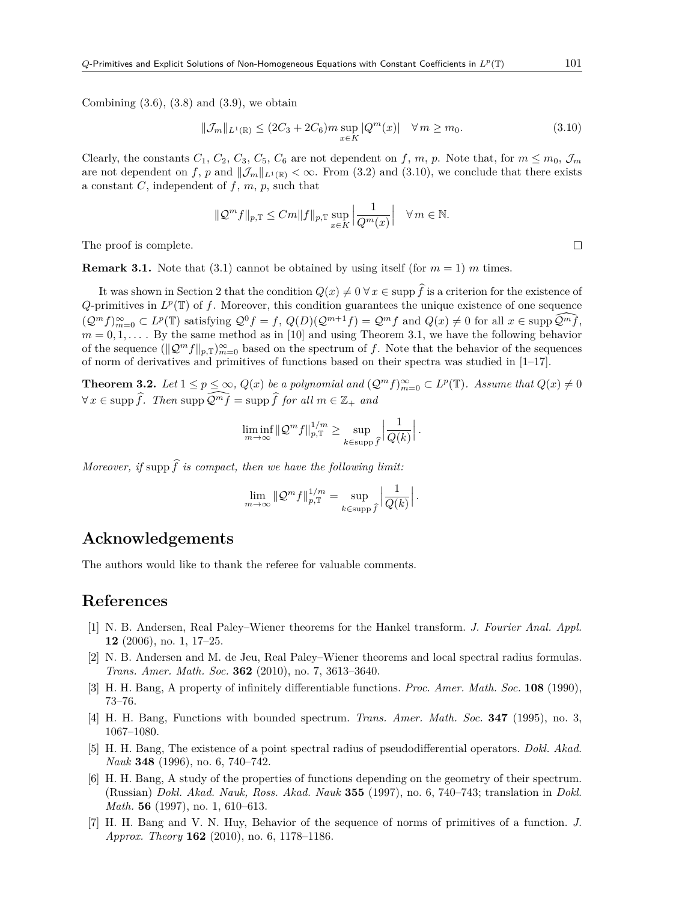Combining  $(3.6)$ ,  $(3.8)$  and  $(3.9)$ , we obtain

$$
\|\mathcal{J}_m\|_{L^1(\mathbb{R})} \le (2C_3 + 2C_6)m \sup_{x \in K} |Q^m(x)| \quad \forall \, m \ge m_0.
$$
 (3.10)

Clearly, the constants  $C_1$ ,  $C_2$ ,  $C_3$ ,  $C_5$ ,  $C_6$  are not dependent on f, m, p. Note that, for  $m \leq m_0$ ,  $\mathcal{J}_m$ are not dependent on *f*, *p* and  $||\mathcal{J}_m||_{L^1(\mathbb{R})} < \infty$ . From (3.2) and (3.10), we conclude that there exists a constant  $C$ , independent of  $f$ ,  $m$ ,  $p$ , such that

$$
\|\mathcal{Q}^m f\|_{p,\mathbb{T}} \le Cm \|f\|_{p,\mathbb{T}} \sup_{x \in K} \left|\frac{1}{Q^m(x)}\right| \quad \forall \, m \in \mathbb{N}.
$$

The proof is complete.

**Remark 3.1.** Note that (3.1) cannot be obtained by using itself (for  $m = 1$ ) *m* times.

It was shown in Section 2 that the condition  $Q(x) \neq 0 \,\forall x \in \text{supp }\hat{f}$  is a criterion for the existence of  $Q$ -primitives in  $L^p(\mathbb{T})$  of f. Moreover, this condition guarantees the unique existence of one sequence  $(\mathcal{Q}^m f)_{m=0}^{\infty} \subset L^p(\mathbb{T})$  satisfying  $\mathcal{Q}^0 f = f$ ,  $Q(D)(\mathcal{Q}^{m+1} f) = \mathcal{Q}^m f$  and  $Q(x) \neq 0$  for all  $x \in \text{supp }\mathcal{Q}^m \tilde{f}$ ,  $m = 0, 1, \ldots$  By the same method as in [10] and using Theorem 3.1, we have the following behavior of the sequence  $(\mathcal{Q}^m f \|_{p,\mathbb{T}})_{m=0}^{\infty}$  based on the spectrum of *f*. Note that the behavior of the sequences of norm of derivatives and primitives of functions based on their spectra was studied in  $[1-17]$ .

**Theorem 3.2.** Let  $1 \leq p \leq \infty$ ,  $Q(x)$  be a polynomial and  $(Q^m f)_{m=0}^{\infty} \subset L^p(\mathbb{T})$ . Assume that  $Q(x) \neq 0$ *∀*  $x \in \text{supp }\hat{f}$ *. Then* supp  $\widehat{Q^m f} = \text{supp }\hat{f}$  *for all*  $m \in \mathbb{Z}_+$  *and* 

$$
\liminf_{m \to \infty} \|\mathcal{Q}^m f\|_{p,\mathbb{T}}^{1/m} \ge \sup_{k \in \text{supp } \widehat{f}} \left| \frac{1}{Q(k)} \right|.
$$

*Moreover, if* supp  $\hat{f}$  *is compact, then we have the following limit:* 

$$
\lim_{m \to \infty} \|\mathcal{Q}^m f\|_{p,\mathbb{T}}^{1/m} = \sup_{k \in \text{supp } \widehat{f}} \left| \frac{1}{Q(k)} \right|.
$$

### **Acknowledgements**

The authors would like to thank the referee for valuable comments.

### **References**

- [1] N. B. Andersen, Real Paley–Wiener theorems for the Hankel transform. *J. Fourier Anal. Appl.* **12** (2006), no. 1, 17–25.
- [2] N. B. Andersen and M. de Jeu, Real Paley–Wiener theorems and local spectral radius formulas. *Trans. Amer. Math. Soc.* **362** (2010), no. 7, 3613–3640.
- [3] H. H. Bang, A property of infinitely differentiable functions. *Proc. Amer. Math. Soc.* **108** (1990), 73–76.
- [4] H. H. Bang, Functions with bounded spectrum. *Trans. Amer. Math. Soc.* **347** (1995), no. 3, 1067–1080.
- [5] H. H. Bang, The existence of a point spectral radius of pseudodifferential operators. *Dokl. Akad. Nauk* **348** (1996), no. 6, 740–742.
- [6] H. H. Bang, A study of the properties of functions depending on the geometry of their spectrum. (Russian) *Dokl. Akad. Nauk, Ross. Akad. Nauk* **355** (1997), no. 6, 740–743; translation in *Dokl. Math.* **56** (1997), no. 1, 610–613.
- [7] H. H. Bang and V. N. Huy, Behavior of the sequence of norms of primitives of a function. *J. Approx. Theory* **162** (2010), no. 6, 1178–1186.

 $\Box$